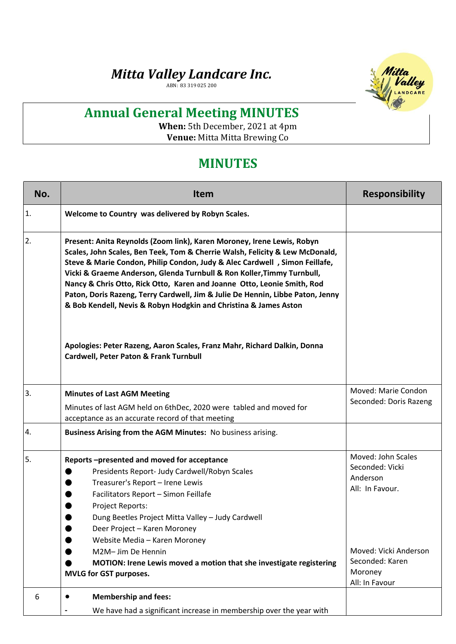## *Mitta Valley Landcare Inc.*

ABN: 83 319 025 200



## **Annual General Meeting MINUTES**

**When:** 5th December, 2021 at 4pm **Venue:** Mitta Mitta Brewing Co

## **MINUTES**

| No. | <b>Item</b>                                                                                                                                                                                                                                                                                                                                                                                                                                                                                                                                     | <b>Responsibility</b>                                                                                                                         |
|-----|-------------------------------------------------------------------------------------------------------------------------------------------------------------------------------------------------------------------------------------------------------------------------------------------------------------------------------------------------------------------------------------------------------------------------------------------------------------------------------------------------------------------------------------------------|-----------------------------------------------------------------------------------------------------------------------------------------------|
| 1.  | Welcome to Country was delivered by Robyn Scales.                                                                                                                                                                                                                                                                                                                                                                                                                                                                                               |                                                                                                                                               |
| 2.  | Present: Anita Reynolds (Zoom link), Karen Moroney, Irene Lewis, Robyn<br>Scales, John Scales, Ben Teek, Tom & Cherrie Walsh, Felicity & Lew McDonald,<br>Steve & Marie Condon, Philip Condon, Judy & Alec Cardwell, Simon Feillafe,<br>Vicki & Graeme Anderson, Glenda Turnbull & Ron Koller, Timmy Turnbull,<br>Nancy & Chris Otto, Rick Otto, Karen and Joanne Otto, Leonie Smith, Rod<br>Paton, Doris Razeng, Terry Cardwell, Jim & Julie De Hennin, Libbe Paton, Jenny<br>& Bob Kendell, Nevis & Robyn Hodgkin and Christina & James Aston |                                                                                                                                               |
|     | Apologies: Peter Razeng, Aaron Scales, Franz Mahr, Richard Dalkin, Donna<br><b>Cardwell, Peter Paton &amp; Frank Turnbull</b>                                                                                                                                                                                                                                                                                                                                                                                                                   |                                                                                                                                               |
| 3.  | <b>Minutes of Last AGM Meeting</b>                                                                                                                                                                                                                                                                                                                                                                                                                                                                                                              | Moved: Marie Condon                                                                                                                           |
|     | Minutes of last AGM held on 6thDec, 2020 were tabled and moved for<br>acceptance as an accurate record of that meeting                                                                                                                                                                                                                                                                                                                                                                                                                          | Seconded: Doris Razeng                                                                                                                        |
| 4.  | Business Arising from the AGM Minutes: No business arising.                                                                                                                                                                                                                                                                                                                                                                                                                                                                                     |                                                                                                                                               |
| 5.  | Reports-presented and moved for acceptance<br>Presidents Report- Judy Cardwell/Robyn Scales<br>Treasurer's Report - Irene Lewis<br>Facilitators Report - Simon Feillafe<br>Project Reports:<br>Dung Beetles Project Mitta Valley - Judy Cardwell<br>Deer Project - Karen Moroney<br>Website Media - Karen Moroney<br>M2M- Jim De Hennin<br>MOTION: Irene Lewis moved a motion that she investigate registering<br><b>MVLG for GST purposes.</b>                                                                                                 | Moved: John Scales<br>Seconded: Vicki<br>Anderson<br>All: In Favour.<br>Moved: Vicki Anderson<br>Seconded: Karen<br>Moroney<br>All: In Favour |
| 6   | <b>Membership and fees:</b><br>$\bullet$                                                                                                                                                                                                                                                                                                                                                                                                                                                                                                        |                                                                                                                                               |
|     | We have had a significant increase in membership over the year with                                                                                                                                                                                                                                                                                                                                                                                                                                                                             |                                                                                                                                               |